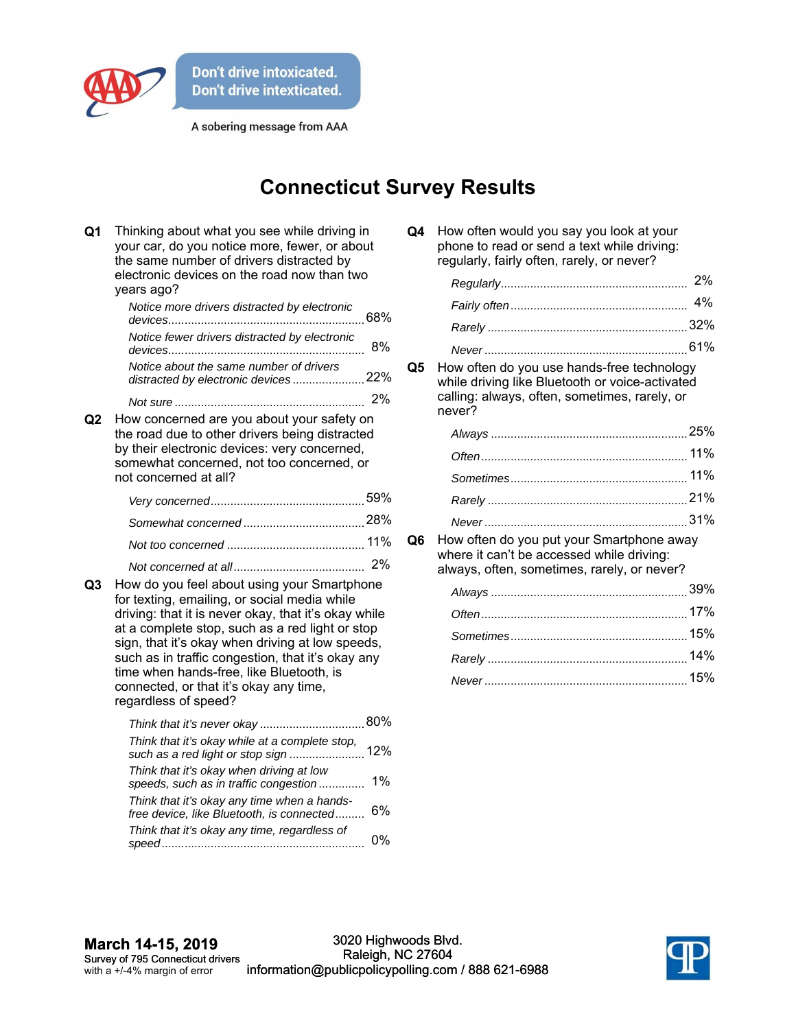

A sobering message from AAA

## **Connecticut Survey Results**

| Q1             | Thinking about what you see while driving in<br>your car, do you notice more, fewer, or about<br>the same number of drivers distracted by<br>electronic devices on the road now than two<br>years ago?                                                                                                                                                      |       |  |
|----------------|-------------------------------------------------------------------------------------------------------------------------------------------------------------------------------------------------------------------------------------------------------------------------------------------------------------------------------------------------------------|-------|--|
|                | Notice more drivers distracted by electronic                                                                                                                                                                                                                                                                                                                |       |  |
|                | Notice fewer drivers distracted by electronic                                                                                                                                                                                                                                                                                                               | 8%    |  |
|                | Notice about the same number of drivers<br>distracted by electronic devices22%                                                                                                                                                                                                                                                                              |       |  |
|                |                                                                                                                                                                                                                                                                                                                                                             |       |  |
| Q <sub>2</sub> | How concerned are you about your safety on<br>the road due to other drivers being distracted<br>by their electronic devices: very concerned,<br>somewhat concerned, not too concerned, or<br>not concerned at all?                                                                                                                                          |       |  |
|                |                                                                                                                                                                                                                                                                                                                                                             |       |  |
|                |                                                                                                                                                                                                                                                                                                                                                             |       |  |
|                |                                                                                                                                                                                                                                                                                                                                                             |       |  |
| Q3             | How do you feel about using your Smartphone<br>for texting, emailing, or social media while<br>driving: that it is never okay, that it's okay while<br>at a complete stop, such as a red light or stop<br>sign, that it's okay when driving at low speeds,<br>such as in traffic congestion, that it's okay any<br>time when hands-free, like Bluetooth, is |       |  |
|                | connected, or that it's okay any time,<br>regardless of speed?                                                                                                                                                                                                                                                                                              |       |  |
|                |                                                                                                                                                                                                                                                                                                                                                             |       |  |
|                | Think that it's okay while at a complete stop,                                                                                                                                                                                                                                                                                                              |       |  |
|                | Think that it's okay when driving at low<br>speeds, such as in traffic congestion                                                                                                                                                                                                                                                                           | $1\%$ |  |
|                | Think that it's okay any time when a hands-<br>free device, like Bluetooth, is connected                                                                                                                                                                                                                                                                    | 6%    |  |
|                | Think that it's okay any time, regardless of                                                                                                                                                                                                                                                                                                                | 0%    |  |

| Q4 | How often would you say you look at your    |
|----|---------------------------------------------|
|    | phone to read or send a text while driving: |
|    | regularly, fairly often, rarely, or never?  |

**Q5** How often do you use hands-free technology while driving like Bluetooth or voice-activated calling: always, often, sometimes, rarely, or never?

**Q6** How often do you put your Smartphone away where it can't be accessed while driving: always, often, sometimes, rarely, or never?